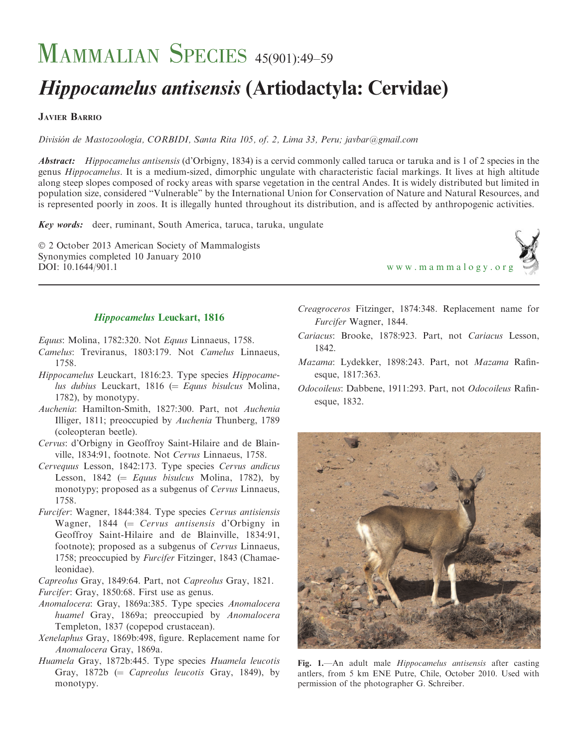# MAMMALIAN SPECIES 45(901):49-59

# Hippocamelus antisensis (Artiodactyla: Cervidae)

# JAVIER BARRIO

División de Mastozoología, CORBIDI, Santa Rita 105, of. 2, Lima 33, Peru; javbar@gmail.com

Abstract: Hippocamelus antisensis (d'Orbigny, 1834) is a cervid commonly called taruca or taruka and is 1 of 2 species in the genus Hippocamelus. It is a medium-sized, dimorphic ungulate with characteristic facial markings. It lives at high altitude along steep slopes composed of rocky areas with sparse vegetation in the central Andes. It is widely distributed but limited in population size, considered ''Vulnerable'' by the International Union for Conservation of Nature and Natural Resources, and is represented poorly in zoos. It is illegally hunted throughout its distribution, and is affected by anthropogenic activities.

Key words: deer, ruminant, South America, taruca, taruka, ungulate

© 2 October 2013 American Society of Mammalogists Synonymies completed 10 January 2010 DOI: 10.1644/901.1 [www.mammalogy.org](http://www.mammalogy.org)



# Hippocamelus Leuckart, 1816

Equus: Molina, 1782:320. Not Equus Linnaeus, 1758.

- Camelus: Treviranus, 1803:179. Not Camelus Linnaeus, 1758.
- Hippocamelus Leuckart, 1816:23. Type species Hippocamelus dubius Leuckart, 1816 ( $=$  Equus bisulcus Molina, 1782), by monotypy.
- Auchenia: Hamilton-Smith, 1827:300. Part, not Auchenia Illiger, 1811; preoccupied by Auchenia Thunberg, 1789 (coleopteran beetle).
- Cervus: d'Orbigny in Geoffroy Saint-Hilaire and de Blainville, 1834:91, footnote. Not Cervus Linnaeus, 1758.
- Cervequus Lesson, 1842:173. Type species Cervus andicus Lesson, 1842 ( $=$  Equus bisulcus Molina, 1782), by monotypy; proposed as a subgenus of Cervus Linnaeus, 1758.
- Furcifer: Wagner, 1844:384. Type species Cervus antisiensis Wagner, 1844 ( $=$  Cervus antisensis d'Orbigny in Geoffroy Saint-Hilaire and de Blainville, 1834:91, footnote); proposed as a subgenus of Cervus Linnaeus, 1758; preoccupied by Furcifer Fitzinger, 1843 (Chamaeleonidae).

Capreolus Gray, 1849:64. Part, not Capreolus Gray, 1821.

- Furcifer: Gray, 1850:68. First use as genus.
- Anomalocera: Gray, 1869a:385. Type species Anomalocera huamel Gray, 1869a; preoccupied by Anomalocera Templeton, 1837 (copepod crustacean).
- Xenelaphus Gray, 1869b:498, figure. Replacement name for Anomalocera Gray, 1869a.
- Huamela Gray, 1872b:445. Type species Huamela leucotis Gray,  $1872b$  (= *Capreolus leucotis* Gray, 1849), by monotypy.
- Creagroceros Fitzinger, 1874:348. Replacement name for Furcifer Wagner, 1844.
- Cariacus: Brooke, 1878:923. Part, not Cariacus Lesson, 1842.
- Mazama: Lydekker, 1898:243. Part, not Mazama Rafinesque, 1817:363.
- Odocoileus: Dabbene, 1911:293. Part, not Odocoileus Rafinesque, 1832.



Fig. 1.—An adult male Hippocamelus antisensis after casting antlers, from 5 km ENE Putre, Chile, October 2010. Used with permission of the photographer G. Schreiber.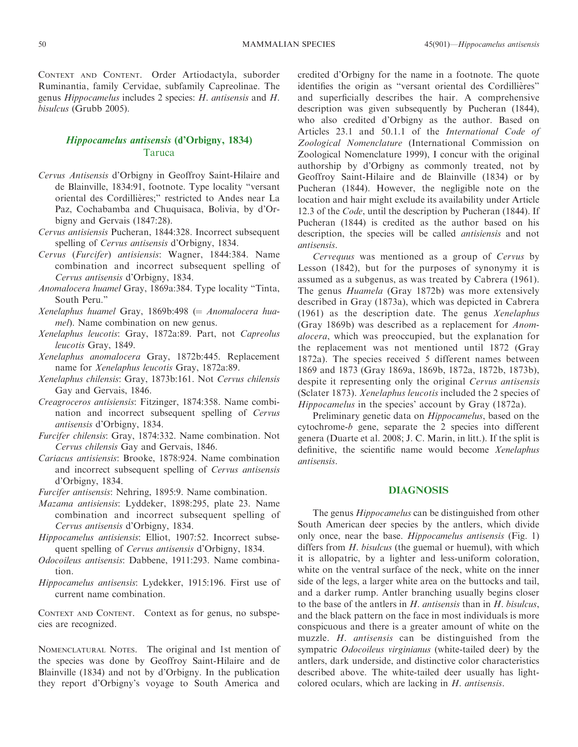CONTEXT AND CONTENT. Order Artiodactyla, suborder Ruminantia, family Cervidae, subfamily Capreolinae. The genus Hippocamelus includes 2 species: H. antisensis and H. bisulcus (Grubb 2005).

# Hippocamelus antisensis (d'Orbigny, 1834) Taruca

- Cervus Antisensis d'Orbigny in Geoffroy Saint-Hilaire and de Blainville, 1834:91, footnote. Type locality ''versant oriental des Cordillières;" restricted to Andes near La Paz, Cochabamba and Chuquisaca, Bolivia, by d'Orbigny and Gervais (1847:28).
- Cervus antisiensis Pucheran, 1844:328. Incorrect subsequent spelling of Cervus antisensis d'Orbigny, 1834.
- Cervus (Furcifer) antisiensis: Wagner, 1844:384. Name combination and incorrect subsequent spelling of Cervus antisensis d'Orbigny, 1834.
- Anomalocera huamel Gray, 1869a:384. Type locality ''Tinta, South Peru.''
- Xenelaphus huamel Gray, 1869b:498 (= Anomalocera huamel). Name combination on new genus.
- Xenelaphus leucotis: Gray, 1872a:89. Part, not Capreolus leucotis Gray, 1849.
- Xenelaphus anomalocera Gray, 1872b:445. Replacement name for Xenelaphus leucotis Gray, 1872a:89.
- Xenelaphus chilensis: Gray, 1873b:161. Not Cervus chilensis Gay and Gervais, 1846.
- Creagroceros antisiensis: Fitzinger, 1874:358. Name combination and incorrect subsequent spelling of Cervus antisensis d'Orbigny, 1834.
- Furcifer chilensis: Gray, 1874:332. Name combination. Not Cervus chilensis Gay and Gervais, 1846.
- Cariacus antisiensis: Brooke, 1878:924. Name combination and incorrect subsequent spelling of Cervus antisensis d'Orbigny, 1834.
- Furcifer antisensis: Nehring, 1895:9. Name combination.
- Mazama antisiensis: Lyddeker, 1898:295, plate 23. Name combination and incorrect subsequent spelling of Cervus antisensis d'Orbigny, 1834.
- Hippocamelus antisiensis: Elliot, 1907:52. Incorrect subsequent spelling of Cervus antisensis d'Orbigny, 1834.
- Odocoileus antisensis: Dabbene, 1911:293. Name combination.
- Hippocamelus antisensis: Lydekker, 1915:196. First use of current name combination.

CONTEXT AND CONTENT. Context as for genus, no subspecies are recognized.

NOMENCLATURAL NOTES. The original and 1st mention of the species was done by Geoffroy Saint-Hilaire and de Blainville (1834) and not by d'Orbigny. In the publication they report d'Orbigny's voyage to South America and credited d'Orbigny for the name in a footnote. The quote identifies the origin as "versant oriental des Cordillières" and superficially describes the hair. A comprehensive description was given subsequently by Pucheran (1844), who also credited d'Orbigny as the author. Based on Articles 23.1 and 50.1.1 of the International Code of Zoological Nomenclature (International Commission on Zoological Nomenclature 1999), I concur with the original authorship by d'Orbigny as commonly treated, not by Geoffroy Saint-Hilaire and de Blainville (1834) or by Pucheran (1844). However, the negligible note on the location and hair might exclude its availability under Article 12.3 of the *Code*, until the description by Pucheran (1844). If Pucheran (1844) is credited as the author based on his description, the species will be called antisiensis and not antisensis.

Cervequus was mentioned as a group of Cervus by Lesson (1842), but for the purposes of synonymy it is assumed as a subgenus, as was treated by Cabrera (1961). The genus Huamela (Gray 1872b) was more extensively described in Gray (1873a), which was depicted in Cabrera (1961) as the description date. The genus Xenelaphus (Gray 1869b) was described as a replacement for Anomalocera, which was preoccupied, but the explanation for the replacement was not mentioned until 1872 (Gray 1872a). The species received 5 different names between 1869 and 1873 (Gray 1869a, 1869b, 1872a, 1872b, 1873b), despite it representing only the original Cervus antisensis (Sclater 1873). Xenelaphus leucotis included the 2 species of Hippocamelus in the species' account by Gray (1872a).

Preliminary genetic data on Hippocamelus, based on the cytochrome-b gene, separate the 2 species into different genera (Duarte et al. 2008; J. C. Marin, in litt.). If the split is definitive, the scientific name would become Xenelaphus antisensis.

#### DIAGNOSIS

The genus Hippocamelus can be distinguished from other South American deer species by the antlers, which divide only once, near the base. Hippocamelus antisensis (Fig. 1) differs from *H. bisulcus* (the guemal or huemul), with which it is allopatric, by a lighter and less-uniform coloration, white on the ventral surface of the neck, white on the inner side of the legs, a larger white area on the buttocks and tail, and a darker rump. Antler branching usually begins closer to the base of the antlers in  $H$ . antisensis than in  $H$ . bisulcus, and the black pattern on the face in most individuals is more conspicuous and there is a greater amount of white on the muzzle. H. antisensis can be distinguished from the sympatric Odocoileus virginianus (white-tailed deer) by the antlers, dark underside, and distinctive color characteristics described above. The white-tailed deer usually has lightcolored oculars, which are lacking in H. antisensis.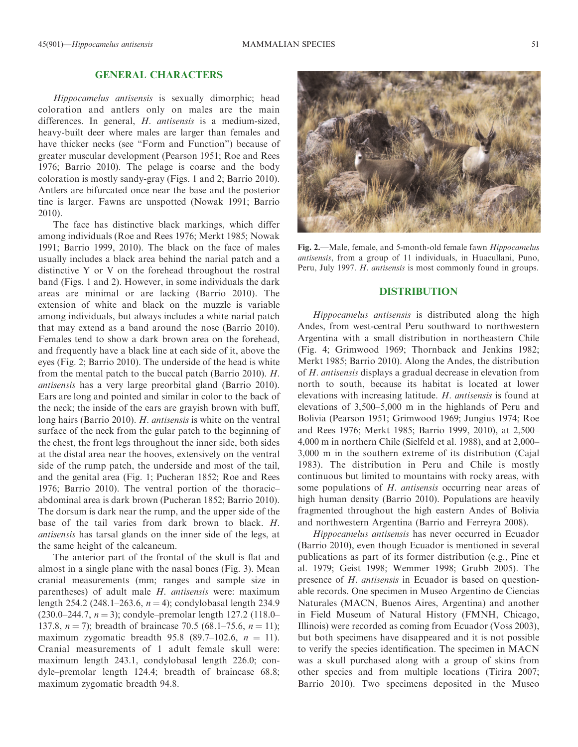# GENERAL CHARACTERS

Hippocamelus antisensis is sexually dimorphic; head coloration and antlers only on males are the main differences. In general, *H. antisensis* is a medium-sized, heavy-built deer where males are larger than females and have thicker necks (see "Form and Function") because of greater muscular development (Pearson 1951; Roe and Rees 1976; Barrio 2010). The pelage is coarse and the body coloration is mostly sandy-gray (Figs. 1 and 2; Barrio 2010). Antlers are bifurcated once near the base and the posterior tine is larger. Fawns are unspotted (Nowak 1991; Barrio 2010).

The face has distinctive black markings, which differ among individuals (Roe and Rees 1976; Merkt 1985; Nowak 1991; Barrio 1999, 2010). The black on the face of males usually includes a black area behind the narial patch and a distinctive Y or V on the forehead throughout the rostral band (Figs. 1 and 2). However, in some individuals the dark areas are minimal or are lacking (Barrio 2010). The extension of white and black on the muzzle is variable among individuals, but always includes a white narial patch that may extend as a band around the nose (Barrio 2010). Females tend to show a dark brown area on the forehead, and frequently have a black line at each side of it, above the eyes (Fig. 2; Barrio 2010). The underside of the head is white from the mental patch to the buccal patch (Barrio 2010). H. antisensis has a very large preorbital gland (Barrio 2010). Ears are long and pointed and similar in color to the back of the neck; the inside of the ears are grayish brown with buff, long hairs (Barrio 2010). H. antisensis is white on the ventral surface of the neck from the gular patch to the beginning of the chest, the front legs throughout the inner side, both sides at the distal area near the hooves, extensively on the ventral side of the rump patch, the underside and most of the tail, and the genital area (Fig. 1; Pucheran 1852; Roe and Rees 1976; Barrio 2010). The ventral portion of the thoracic– abdominal area is dark brown (Pucheran 1852; Barrio 2010). The dorsum is dark near the rump, and the upper side of the base of the tail varies from dark brown to black. H. antisensis has tarsal glands on the inner side of the legs, at the same height of the calcaneum.

The anterior part of the frontal of the skull is flat and almost in a single plane with the nasal bones (Fig. 3). Mean cranial measurements (mm; ranges and sample size in parentheses) of adult male H. antisensis were: maximum length 254.2 (248.1–263.6,  $n = 4$ ); condylobasal length 234.9  $(230.0-244.7, n=3)$ ; condyle-premolar length 127.2 (118.0– 137.8,  $n = 7$ ); breadth of braincase 70.5 (68.1–75.6,  $n = 11$ ); maximum zygomatic breadth 95.8 (89.7–102.6,  $n = 11$ ). Cranial measurements of 1 adult female skull were: maximum length 243.1, condylobasal length 226.0; condyle–premolar length 124.4; breadth of braincase 68.8; maximum zygomatic breadth 94.8.

Fig. 2.—Male, female, and 5-month-old female fawn Hippocamelus antisensis, from a group of 11 individuals, in Huacullani, Puno, Peru, July 1997. H. antisensis is most commonly found in groups.

# DISTRIBUTION

Hippocamelus antisensis is distributed along the high Andes, from west-central Peru southward to northwestern Argentina with a small distribution in northeastern Chile (Fig. 4; Grimwood 1969; Thornback and Jenkins 1982; Merkt 1985; Barrio 2010). Along the Andes, the distribution of H. antisensis displays a gradual decrease in elevation from north to south, because its habitat is located at lower elevations with increasing latitude. H. antisensis is found at elevations of 3,500–5,000 m in the highlands of Peru and Bolivia (Pearson 1951; Grimwood 1969; Jungius 1974; Roe and Rees 1976; Merkt 1985; Barrio 1999, 2010), at 2,500– 4,000 m in northern Chile (Sielfeld et al. 1988), and at 2,000– 3,000 m in the southern extreme of its distribution (Cajal 1983). The distribution in Peru and Chile is mostly continuous but limited to mountains with rocky areas, with some populations of H. antisensis occurring near areas of high human density (Barrio 2010). Populations are heavily fragmented throughout the high eastern Andes of Bolivia and northwestern Argentina (Barrio and Ferreyra 2008).

Hippocamelus antisensis has never occurred in Ecuador (Barrio 2010), even though Ecuador is mentioned in several publications as part of its former distribution (e.g., Pine et al. 1979; Geist 1998; Wemmer 1998; Grubb 2005). The presence of H. antisensis in Ecuador is based on questionable records. One specimen in Museo Argentino de Ciencias Naturales (MACN, Buenos Aires, Argentina) and another in Field Museum of Natural History (FMNH, Chicago, Illinois) were recorded as coming from Ecuador (Voss 2003), but both specimens have disappeared and it is not possible to verify the species identification. The specimen in MACN was a skull purchased along with a group of skins from other species and from multiple locations (Tirira 2007; Barrio 2010). Two specimens deposited in the Museo

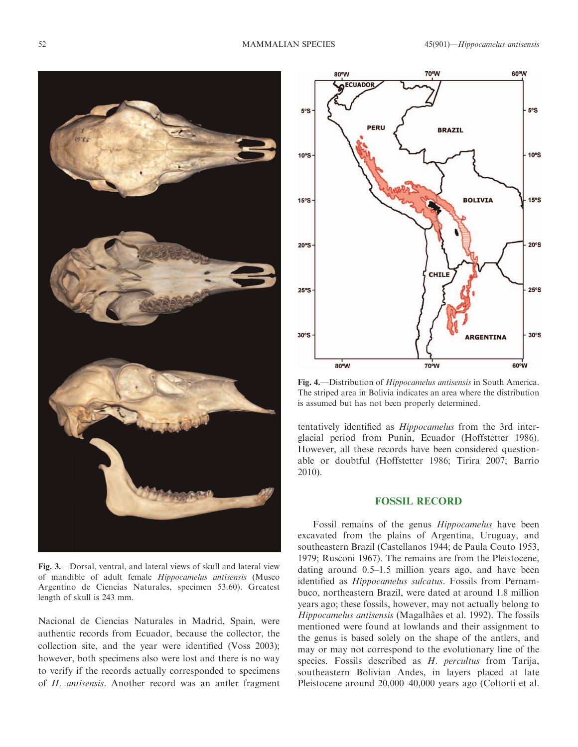

Fig. 3.—Dorsal, ventral, and lateral views of skull and lateral view of mandible of adult female Hippocamelus antisensis (Museo Argentino de Ciencias Naturales, specimen 53.60). Greatest length of skull is 243 mm.

Nacional de Ciencias Naturales in Madrid, Spain, were authentic records from Ecuador, because the collector, the collection site, and the year were identified (Voss 2003); however, both specimens also were lost and there is no way to verify if the records actually corresponded to specimens of H. antisensis. Another record was an antler fragment



Fig. 4.—Distribution of Hippocamelus antisensis in South America. The striped area in Bolivia indicates an area where the distribution is assumed but has not been properly determined.

tentatively identified as Hippocamelus from the 3rd interglacial period from Punin, Ecuador (Hoffstetter 1986). However, all these records have been considered questionable or doubtful (Hoffstetter 1986; Tirira 2007; Barrio 2010).

#### FOSSIL RECORD

Fossil remains of the genus Hippocamelus have been excavated from the plains of Argentina, Uruguay, and southeastern Brazil (Castellanos 1944; de Paula Couto 1953, 1979; Rusconi 1967). The remains are from the Pleistocene, dating around 0.5–1.5 million years ago, and have been identified as Hippocamelus sulcatus. Fossils from Pernambuco, northeastern Brazil, were dated at around 1.8 million years ago; these fossils, however, may not actually belong to Hippocamelus antisensis (Magalhães et al. 1992). The fossils mentioned were found at lowlands and their assignment to the genus is based solely on the shape of the antlers, and may or may not correspond to the evolutionary line of the species. Fossils described as H. percultus from Tarija, southeastern Bolivian Andes, in layers placed at late Pleistocene around 20,000–40,000 years ago (Coltorti et al.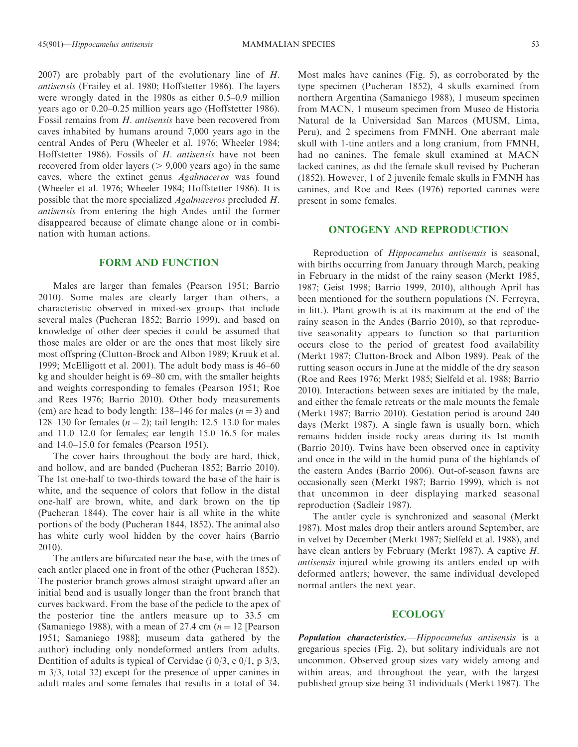2007) are probably part of the evolutionary line of H. antisensis (Frailey et al. 1980; Hoffstetter 1986). The layers were wrongly dated in the 1980s as either 0.5–0.9 million years ago or 0.20–0.25 million years ago (Hoffstetter 1986). Fossil remains from H. antisensis have been recovered from

caves inhabited by humans around 7,000 years ago in the central Andes of Peru (Wheeler et al. 1976; Wheeler 1984; Hoffstetter 1986). Fossils of H. antisensis have not been recovered from older layers  $(> 9,000$  years ago) in the same caves, where the extinct genus Agalmaceros was found (Wheeler et al. 1976; Wheeler 1984; Hoffstetter 1986). It is possible that the more specialized Agalmaceros precluded H. antisensis from entering the high Andes until the former disappeared because of climate change alone or in combination with human actions.

#### FORM AND FUNCTION

Males are larger than females (Pearson 1951; Barrio 2010). Some males are clearly larger than others, a characteristic observed in mixed-sex groups that include several males (Pucheran 1852; Barrio 1999), and based on knowledge of other deer species it could be assumed that those males are older or are the ones that most likely sire most offspring (Clutton-Brock and Albon 1989; Kruuk et al. 1999; McElligott et al. 2001). The adult body mass is 46–60 kg and shoulder height is 69–80 cm, with the smaller heights and weights corresponding to females (Pearson 1951; Roe and Rees 1976; Barrio 2010). Other body measurements (cm) are head to body length: 138–146 for males  $(n = 3)$  and 128–130 for females ( $n = 2$ ); tail length: 12.5–13.0 for males and 11.0–12.0 for females; ear length 15.0–16.5 for males and 14.0–15.0 for females (Pearson 1951).

The cover hairs throughout the body are hard, thick, and hollow, and are banded (Pucheran 1852; Barrio 2010). The 1st one-half to two-thirds toward the base of the hair is white, and the sequence of colors that follow in the distal one-half are brown, white, and dark brown on the tip (Pucheran 1844). The cover hair is all white in the white portions of the body (Pucheran 1844, 1852). The animal also has white curly wool hidden by the cover hairs (Barrio 2010).

The antlers are bifurcated near the base, with the tines of each antler placed one in front of the other (Pucheran 1852). The posterior branch grows almost straight upward after an initial bend and is usually longer than the front branch that curves backward. From the base of the pedicle to the apex of the posterior tine the antlers measure up to 33.5 cm (Samaniego 1988), with a mean of 27.4 cm  $(n = 12$  [Pearson 1951; Samaniego 1988]; museum data gathered by the author) including only nondeformed antlers from adults. Dentition of adults is typical of Cervidae (i 0/3, c 0/1, p 3/3, m 3/3, total 32) except for the presence of upper canines in adult males and some females that results in a total of 34.

Most males have canines (Fig. 5), as corroborated by the type specimen (Pucheran 1852), 4 skulls examined from northern Argentina (Samaniego 1988), 1 museum specimen from MACN, 1 museum specimen from Museo de Historia Natural de la Universidad San Marcos (MUSM, Lima, Peru), and 2 specimens from FMNH. One aberrant male skull with 1-tine antlers and a long cranium, from FMNH, had no canines. The female skull examined at MACN lacked canines, as did the female skull revised by Pucheran (1852). However, 1 of 2 juvenile female skulls in FMNH has canines, and Roe and Rees (1976) reported canines were present in some females.

#### ONTOGENY AND REPRODUCTION

Reproduction of Hippocamelus antisensis is seasonal, with births occurring from January through March, peaking in February in the midst of the rainy season (Merkt 1985, 1987; Geist 1998; Barrio 1999, 2010), although April has been mentioned for the southern populations (N. Ferreyra, in litt.). Plant growth is at its maximum at the end of the rainy season in the Andes (Barrio 2010), so that reproductive seasonality appears to function so that parturition occurs close to the period of greatest food availability (Merkt 1987; Clutton-Brock and Albon 1989). Peak of the rutting season occurs in June at the middle of the dry season (Roe and Rees 1976; Merkt 1985; Sielfeld et al. 1988; Barrio 2010). Interactions between sexes are initiated by the male, and either the female retreats or the male mounts the female (Merkt 1987; Barrio 2010). Gestation period is around 240 days (Merkt 1987). A single fawn is usually born, which remains hidden inside rocky areas during its 1st month (Barrio 2010). Twins have been observed once in captivity and once in the wild in the humid puna of the highlands of the eastern Andes (Barrio 2006). Out-of-season fawns are occasionally seen (Merkt 1987; Barrio 1999), which is not that uncommon in deer displaying marked seasonal reproduction (Sadleir 1987).

The antler cycle is synchronized and seasonal (Merkt 1987). Most males drop their antlers around September, are in velvet by December (Merkt 1987; Sielfeld et al. 1988), and have clean antlers by February (Merkt 1987). A captive H. antisensis injured while growing its antlers ended up with deformed antlers; however, the same individual developed normal antlers the next year.

#### ECOLOGY

Population characteristics.—Hippocamelus antisensis is a gregarious species (Fig. 2), but solitary individuals are not uncommon. Observed group sizes vary widely among and within areas, and throughout the year, with the largest published group size being 31 individuals (Merkt 1987). The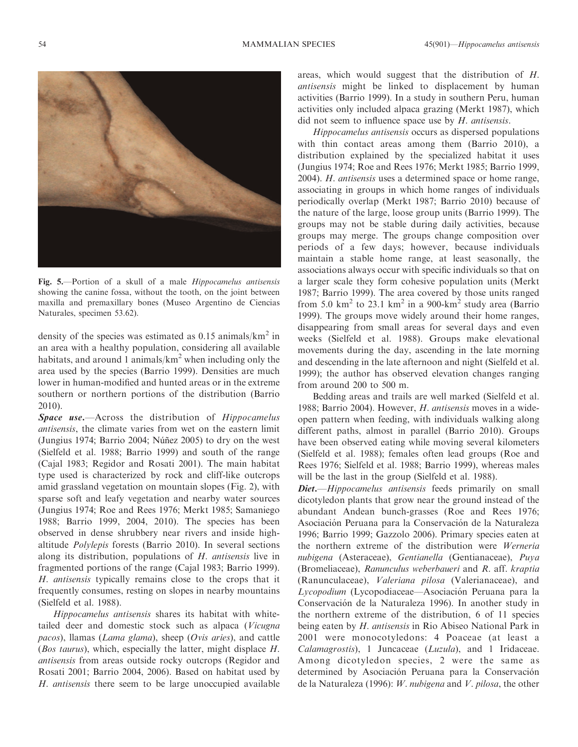

Fig. 5.—Portion of a skull of a male *Hippocamelus antisensis* showing the canine fossa, without the tooth, on the joint between maxilla and premaxillary bones (Museo Argentino de Ciencias Naturales, specimen 53.62).

density of the species was estimated as  $0.15$  animals/km<sup>2</sup> in an area with a healthy population, considering all available habitats, and around 1 animals/ $km^2$  when including only the area used by the species (Barrio 1999). Densities are much lower in human-modified and hunted areas or in the extreme southern or northern portions of the distribution (Barrio 2010).

**Space use.**—Across the distribution of *Hippocamelus* antisensis, the climate varies from wet on the eastern limit (Jungius 1974; Barrio 2004; Núñez 2005) to dry on the west (Sielfeld et al. 1988; Barrio 1999) and south of the range (Cajal 1983; Regidor and Rosati 2001). The main habitat type used is characterized by rock and cliff-like outcrops amid grassland vegetation on mountain slopes (Fig. 2), with sparse soft and leafy vegetation and nearby water sources (Jungius 1974; Roe and Rees 1976; Merkt 1985; Samaniego 1988; Barrio 1999, 2004, 2010). The species has been observed in dense shrubbery near rivers and inside highaltitude Polylepis forests (Barrio 2010). In several sections along its distribution, populations of H. antisensis live in fragmented portions of the range (Cajal 1983; Barrio 1999). H. antisensis typically remains close to the crops that it frequently consumes, resting on slopes in nearby mountains (Sielfeld et al. 1988).

Hippocamelus antisensis shares its habitat with whitetailed deer and domestic stock such as alpaca (Vicugna pacos), llamas (Lama glama), sheep (Ovis aries), and cattle (Bos taurus), which, especially the latter, might displace H. antisensis from areas outside rocky outcrops (Regidor and Rosati 2001; Barrio 2004, 2006). Based on habitat used by H. antisensis there seem to be large unoccupied available areas, which would suggest that the distribution of H. antisensis might be linked to displacement by human activities (Barrio 1999). In a study in southern Peru, human activities only included alpaca grazing (Merkt 1987), which did not seem to influence space use by H. antisensis.

Hippocamelus antisensis occurs as dispersed populations with thin contact areas among them (Barrio 2010), a distribution explained by the specialized habitat it uses (Jungius 1974; Roe and Rees 1976; Merkt 1985; Barrio 1999, 2004). H. antisensis uses a determined space or home range, associating in groups in which home ranges of individuals periodically overlap (Merkt 1987; Barrio 2010) because of the nature of the large, loose group units (Barrio 1999). The groups may not be stable during daily activities, because groups may merge. The groups change composition over periods of a few days; however, because individuals maintain a stable home range, at least seasonally, the associations always occur with specific individuals so that on a larger scale they form cohesive population units (Merkt 1987; Barrio 1999). The area covered by those units ranged from 5.0 km<sup>2</sup> to 23.1 km<sup>2</sup> in a 900-km<sup>2</sup> study area (Barrio 1999). The groups move widely around their home ranges, disappearing from small areas for several days and even weeks (Sielfeld et al. 1988). Groups make elevational movements during the day, ascending in the late morning and descending in the late afternoon and night (Sielfeld et al. 1999); the author has observed elevation changes ranging from around 200 to 500 m.

Bedding areas and trails are well marked (Sielfeld et al. 1988; Barrio 2004). However, H. antisensis moves in a wideopen pattern when feeding, with individuals walking along different paths, almost in parallel (Barrio 2010). Groups have been observed eating while moving several kilometers (Sielfeld et al. 1988); females often lead groups (Roe and Rees 1976; Sielfeld et al. 1988; Barrio 1999), whereas males will be the last in the group (Sielfeld et al. 1988).

Diet.—Hippocamelus antisensis feeds primarily on small dicotyledon plants that grow near the ground instead of the abundant Andean bunch-grasses (Roe and Rees 1976; Asociación Peruana para la Conservación de la Naturaleza 1996; Barrio 1999; Gazzolo 2006). Primary species eaten at the northern extreme of the distribution were Werneria nubigena (Asteraceae), Gentianella (Gentianaceae), Puya (Bromeliaceae), Ranunculus weberbaueri and R. aff. kraptia (Ranunculaceae), Valeriana pilosa (Valerianaceae), and Lycopodium (Lycopodiaceae-Asociación Peruana para la Conservación de la Naturaleza 1996). In another study in the northern extreme of the distribution, 6 of 11 species being eaten by *H. antisensis* in Rio Abiseo National Park in 2001 were monocotyledons: 4 Poaceae (at least a Calamagrostis), 1 Juncaceae (Luzula), and 1 Iridaceae. Among dicotyledon species, 2 were the same as determined by Asociación Peruana para la Conservación de la Naturaleza (1996): W. nubigena and V. pilosa, the other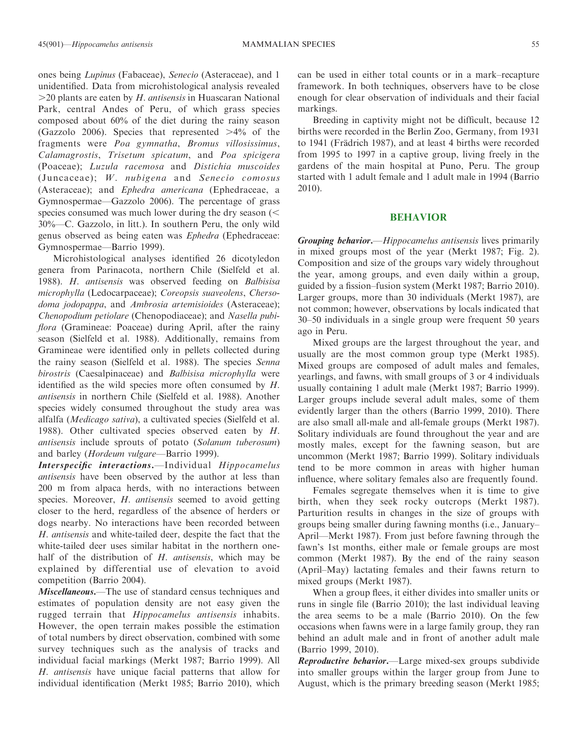ones being Lupinus (Fabaceae), Senecio (Asteraceae), and 1 unidentified. Data from microhistological analysis revealed  $>$ 20 plants are eaten by *H. antisensis* in Huascaran National Park, central Andes of Peru, of which grass species composed about 60% of the diet during the rainy season (Gazzolo 2006). Species that represented  $>4\%$  of the fragments were Poa gymnatha, Bromus villosissimus, Calamagrostis, Trisetum spicatum, and Poa spicigera (Poaceae); Luzula racemosa and Distichia muscoides (Juncaceae); W. nubigena and Senecio comosus (Asteraceae); and *Ephedra americana* (Ephedraceae, a Gymnospermae—Gazzolo 2006). The percentage of grass species consumed was much lower during the dry season  $(<$ 30%—C. Gazzolo, in litt.). In southern Peru, the only wild genus observed as being eaten was Ephedra (Ephedraceae: Gymnospermae—Barrio 1999).

Microhistological analyses identified 26 dicotyledon genera from Parinacota, northern Chile (Sielfeld et al. 1988). H. antisensis was observed feeding on Balbisisa microphylla (Ledocarpaceae); Coreopsis suaveolens, Chersodoma jodopappa, and Ambrosia artemisioides (Asteraceae); Chenopodium petiolare (Chenopodiaceae); and Nasella pubiflora (Gramineae: Poaceae) during April, after the rainy season (Sielfeld et al. 1988). Additionally, remains from Gramineae were identified only in pellets collected during the rainy season (Sielfeld et al. 1988). The species Senna birostris (Caesalpinaceae) and Balbisisa microphylla were identified as the wild species more often consumed by H. antisensis in northern Chile (Sielfeld et al. 1988). Another species widely consumed throughout the study area was alfalfa (Medicago sativa), a cultivated species (Sielfeld et al. 1988). Other cultivated species observed eaten by H. antisensis include sprouts of potato (Solanum tuberosum) and barley (Hordeum vulgare—Barrio 1999).

Interspecific interactions.—Individual Hippocamelus antisensis have been observed by the author at less than 200 m from alpaca herds, with no interactions between species. Moreover, *H. antisensis* seemed to avoid getting closer to the herd, regardless of the absence of herders or dogs nearby. No interactions have been recorded between H. antisensis and white-tailed deer, despite the fact that the white-tailed deer uses similar habitat in the northern onehalf of the distribution of H. antisensis, which may be explained by differential use of elevation to avoid competition (Barrio 2004).

Miscellaneous.—The use of standard census techniques and estimates of population density are not easy given the rugged terrain that *Hippocamelus antisensis* inhabits. However, the open terrain makes possible the estimation of total numbers by direct observation, combined with some survey techniques such as the analysis of tracks and individual facial markings (Merkt 1987; Barrio 1999). All H. antisensis have unique facial patterns that allow for individual identification (Merkt 1985; Barrio 2010), which can be used in either total counts or in a mark–recapture framework. In both techniques, observers have to be close enough for clear observation of individuals and their facial markings.

Breeding in captivity might not be difficult, because 12 births were recorded in the Berlin Zoo, Germany, from 1931 to 1941 (Frädrich 1987), and at least 4 births were recorded from 1995 to 1997 in a captive group, living freely in the gardens of the main hospital at Puno, Peru. The group started with 1 adult female and 1 adult male in 1994 (Barrio 2010).

#### BEHAVIOR

Grouping behavior.—Hippocamelus antisensis lives primarily in mixed groups most of the year (Merkt 1987; Fig. 2). Composition and size of the groups vary widely throughout the year, among groups, and even daily within a group, guided by a fission–fusion system (Merkt 1987; Barrio 2010). Larger groups, more than 30 individuals (Merkt 1987), are not common; however, observations by locals indicated that 30–50 individuals in a single group were frequent 50 years ago in Peru.

Mixed groups are the largest throughout the year, and usually are the most common group type (Merkt 1985). Mixed groups are composed of adult males and females, yearlings, and fawns, with small groups of 3 or 4 individuals usually containing 1 adult male (Merkt 1987; Barrio 1999). Larger groups include several adult males, some of them evidently larger than the others (Barrio 1999, 2010). There are also small all-male and all-female groups (Merkt 1987). Solitary individuals are found throughout the year and are mostly males, except for the fawning season, but are uncommon (Merkt 1987; Barrio 1999). Solitary individuals tend to be more common in areas with higher human influence, where solitary females also are frequently found.

Females segregate themselves when it is time to give birth, when they seek rocky outcrops (Merkt 1987). Parturition results in changes in the size of groups with groups being smaller during fawning months (i.e., January– April—Merkt 1987). From just before fawning through the fawn's 1st months, either male or female groups are most common (Merkt 1987). By the end of the rainy season (April–May) lactating females and their fawns return to mixed groups (Merkt 1987).

When a group flees, it either divides into smaller units or runs in single file (Barrio 2010); the last individual leaving the area seems to be a male (Barrio 2010). On the few occasions when fawns were in a large family group, they ran behind an adult male and in front of another adult male (Barrio 1999, 2010).

Reproductive behavior.—Large mixed-sex groups subdivide into smaller groups within the larger group from June to August, which is the primary breeding season (Merkt 1985;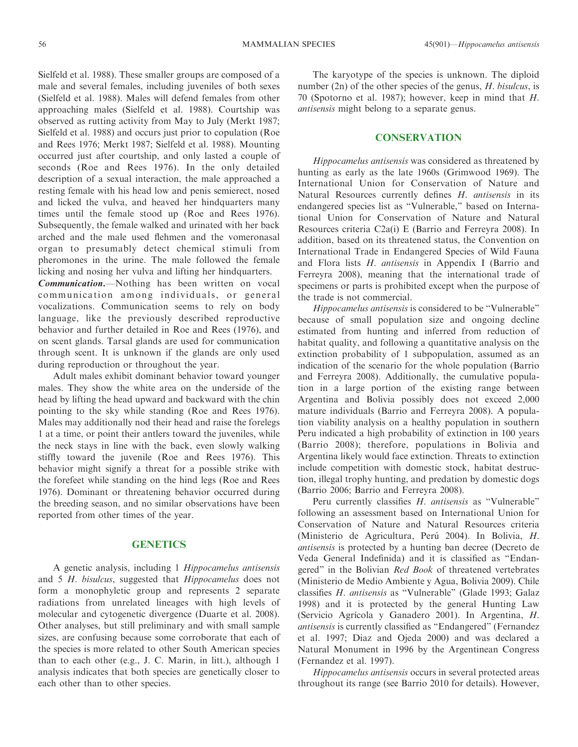Sielfeld et al. 1988). These smaller groups are composed of a male and several females, including juveniles of both sexes (Sielfeld et al. 1988). Males will defend females from other approaching males (Sielfeld et al. 1988). Courtship was observed as rutting activity from May to July (Merkt 1987; Sielfeld et al. 1988) and occurs just prior to copulation (Roe and Rees 1976; Merkt 1987; Sielfeld et al. 1988). Mounting occurred just after courtship, and only lasted a couple of seconds (Roe and Rees 1976). In the only detailed description of a sexual interaction, the male approached a resting female with his head low and penis semierect, nosed and licked the vulva, and heaved her hindquarters many times until the female stood up (Roe and Rees 1976). Subsequently, the female walked and urinated with her back arched and the male used flehmen and the vomeronasal organ to presumably detect chemical stimuli from pheromones in the urine. The male followed the female licking and nosing her vulva and lifting her hindquarters.

Communication.—Nothing has been written on vocal communication among individuals, or general vocalizations. Communication seems to rely on body language, like the previously described reproductive behavior and further detailed in Roe and Rees (1976), and on scent glands. Tarsal glands are used for communication through scent. It is unknown if the glands are only used during reproduction or throughout the year.

Adult males exhibit dominant behavior toward younger males. They show the white area on the underside of the head by lifting the head upward and backward with the chin pointing to the sky while standing (Roe and Rees 1976). Males may additionally nod their head and raise the forelegs 1 at a time, or point their antlers toward the juveniles, while the neck stays in line with the back, even slowly walking stiffly toward the juvenile (Roe and Rees 1976). This behavior might signify a threat for a possible strike with the forefeet while standing on the hind legs (Roe and Rees 1976). Dominant or threatening behavior occurred during the breeding season, and no similar observations have been reported from other times of the year.

## **GENETICS**

A genetic analysis, including 1 Hippocamelus antisensis and 5 H. bisulcus, suggested that Hippocamelus does not form a monophyletic group and represents 2 separate radiations from unrelated lineages with high levels of molecular and cytogenetic divergence (Duarte et al. 2008). Other analyses, but still preliminary and with small sample sizes, are confusing because some corroborate that each of the species is more related to other South American species than to each other (e.g., J. C. Marin, in litt.), although 1 analysis indicates that both species are genetically closer to each other than to other species.

The karyotype of the species is unknown. The diploid number (2n) of the other species of the genus, H. bisulcus, is 70 (Spotorno et al. 1987); however, keep in mind that H. antisensis might belong to a separate genus.

#### **CONSERVATION**

Hippocamelus antisensis was considered as threatened by hunting as early as the late 1960s (Grimwood 1969). The International Union for Conservation of Nature and Natural Resources currently defines H. antisensis in its endangered species list as ''Vulnerable,'' based on International Union for Conservation of Nature and Natural Resources criteria C2a(i) E (Barrio and Ferreyra 2008). In addition, based on its threatened status, the Convention on International Trade in Endangered Species of Wild Fauna and Flora lists H. antisensis in Appendix I (Barrio and Ferreyra 2008), meaning that the international trade of specimens or parts is prohibited except when the purpose of the trade is not commercial.

Hippocamelus antisensis is considered to be ''Vulnerable'' because of small population size and ongoing decline estimated from hunting and inferred from reduction of habitat quality, and following a quantitative analysis on the extinction probability of 1 subpopulation, assumed as an indication of the scenario for the whole population (Barrio and Ferreyra 2008). Additionally, the cumulative population in a large portion of the existing range between Argentina and Bolivia possibly does not exceed 2,000 mature individuals (Barrio and Ferreyra 2008). A population viability analysis on a healthy population in southern Peru indicated a high probability of extinction in 100 years (Barrio 2008); therefore, populations in Bolivia and Argentina likely would face extinction. Threats to extinction include competition with domestic stock, habitat destruction, illegal trophy hunting, and predation by domestic dogs (Barrio 2006; Barrio and Ferreyra 2008).

Peru currently classifies H. antisensis as "Vulnerable" following an assessment based on International Union for Conservation of Nature and Natural Resources criteria (Ministerio de Agricultura, Perú 2004). In Bolivia, H. antisensis is protected by a hunting ban decree (Decreto de Veda General Indefinida) and it is classified as ''Endangered'' in the Bolivian Red Book of threatened vertebrates (Ministerio de Medio Ambiente y Agua, Bolivia 2009). Chile classifies H. antisensis as ''Vulnerable'' (Glade 1993; Galaz 1998) and it is protected by the general Hunting Law (Servicio Agrícola y Ganadero 2001). In Argentina, H. antisensis is currently classified as ''Endangered'' (Fernandez et al. 1997; Diaz and Ojeda 2000) and was declared a Natural Monument in 1996 by the Argentinean Congress (Fernandez et al. 1997).

Hippocamelus antisensis occurs in several protected areas throughout its range (see Barrio 2010 for details). However,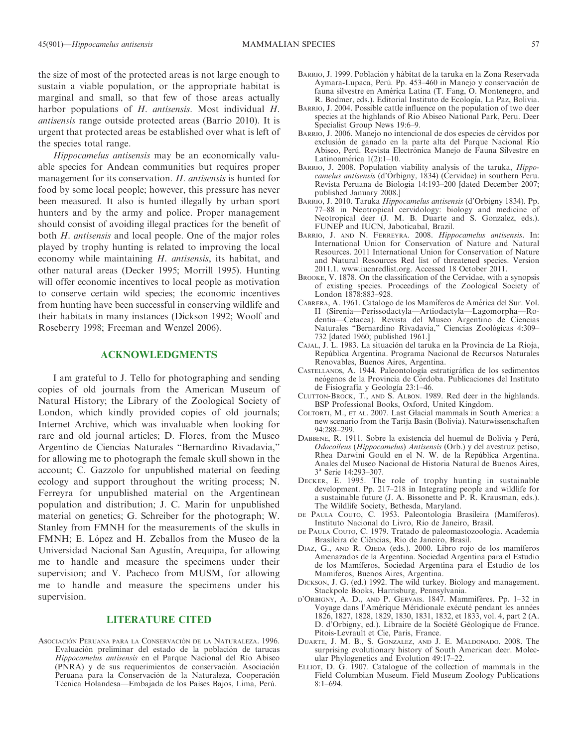the size of most of the protected areas is not large enough to sustain a viable population, or the appropriate habitat is marginal and small, so that few of those areas actually harbor populations of H. antisensis. Most individual H. antisensis range outside protected areas (Barrio 2010). It is urgent that protected areas be established over what is left of the species total range.

Hippocamelus antisensis may be an economically valuable species for Andean communities but requires proper management for its conservation. H. antisensis is hunted for food by some local people; however, this pressure has never been measured. It also is hunted illegally by urban sport hunters and by the army and police. Proper management should consist of avoiding illegal practices for the benefit of both *H. antisensis* and local people. One of the major roles played by trophy hunting is related to improving the local economy while maintaining H. antisensis, its habitat, and other natural areas (Decker 1995; Morrill 1995). Hunting will offer economic incentives to local people as motivation to conserve certain wild species; the economic incentives from hunting have been successful in conserving wildlife and their habitats in many instances (Dickson 1992; Woolf and Roseberry 1998; Freeman and Wenzel 2006).

#### ACKNOWLEDGMENTS

I am grateful to J. Tello for photographing and sending copies of old journals from the American Museum of Natural History; the Library of the Zoological Society of London, which kindly provided copies of old journals; Internet Archive, which was invaluable when looking for rare and old journal articles; D. Flores, from the Museo Argentino de Ciencias Naturales ''Bernardino Rivadavia,'' for allowing me to photograph the female skull shown in the account; C. Gazzolo for unpublished material on feeding ecology and support throughout the writing process; N. Ferreyra for unpublished material on the Argentinean population and distribution; J. C. Marin for unpublished material on genetics; G. Schreiber for the photograph; W. Stanley from FMNH for the measurements of the skulls in FMNH; E. López and H. Zeballos from the Museo de la Universidad Nacional San Agustín, Arequipa, for allowing me to handle and measure the specimens under their supervision; and V. Pacheco from MUSM, for allowing me to handle and measure the specimens under his supervision.

#### LITERATURE CITED

ASOCIACIÓN PERUANA PARA LA CONSERVACIÓN DE LA NATURALEZA. 1996. Evaluación preliminar del estado de la población de tarucas Hippocamelus antisensis en el Parque Nacional del Río Abiseo (PNRA) y de sus requerimientos de conservación. Asociación Peruana para la Conservación de la Naturaleza, Cooperación Técnica Holandesa—Embajada de los Países Bajos, Lima, Perú.

- BARRIO, J. 1999. Población y hábitat de la taruka en la Zona Reservada Aymara-Lupaca, Perú. Pp. 453-460 in Manejo y conservación de fauna silvestre en América Latina (T. Fang, O. Montenegro, and R. Bodmer, eds.). Editorial Instituto de Ecología, La Paz, Bolivia.
- BARRIO, J. 2004. Possible cattle influence on the population of two deer species at the highlands of Rio Abiseo National Park, Peru. Deer Specialist Group News 19:6–9.
- BARRIO, J. 2006. Manejo no intencional de dos especies de cérvidos por exclusión de ganado en la parte alta del Parque Nacional Río Abiseo, Perú. Revista Electrónica Manejo de Fauna Silvestre en Latinoamérica  $1(2):1-10$ .
- BARRIO, J. 2008. Population viability analysis of the taruka, Hippocamelus antisensis (d'Órbigny, 1834) (Cervidae) in southern Peru. Revista Peruana de Biología 14:193–200 [dated December 2007; published January 2008.]
- BARRIO, J. 2010. Taruka Hippocamelus antisensis (d'Orbigny 1834). Pp. 77–88 in Neotropical cervidology: biology and medicine of Neotropical deer (J. M. B. Duarte and S. Gonzalez, eds.). FUNEP and IUCN, Jaboticabal, Brazil.
- BARRIO, J. AND N. FERREYRA. 2008. Hippocamelus antisensis. In: International Union for Conservation of Nature and Natural Resources. 2011 International Union for Conservation of Nature and Natural Resources Red list of threatened species. Version 2011.1. www.iucnredlist.org. Accessed 18 October 2011.
- BROOKE, V. 1878. On the classification of the Cervidae, with a synopsis of existing species. Proceedings of the Zoological Society of London 1878:883–928.
- CABRERA, A. 1961. Catalogo de los Mamíferos de América del Sur. Vol. II (Sirenia—Perissodactyla—Artiodactyla—Lagomorpha—Rodentia—Cetacea). Revista del Museo Argentino de Ciencias Naturales "Bernardino Rivadavia," Ciencias Zoológicas 4:309– 732 [dated 1960; published 1961.]
- CAJAL, J. L. 1983. La situación del taruka en la Provincia de La Rioja, República Argentina. Programa Nacional de Recursos Naturales Renovables, Buenos Aires, Argentina.
- CASTELLANOS, A. 1944. Paleontología estratigráfica de los sedimentos neógenos de la Provincia de Córdoba. Publicaciones del Instituto de Fisiografía y Geología 23:1-46.
- CLUTTON-BROCK, T., AND S. ALBON. 1989. Red deer in the highlands. BSP Professional Books, Oxford, United Kingdom.
- COLTORTI, M., ET AL. 2007. Last Glacial mammals in South America: a new scenario from the Tarija Basin (Bolivia). Naturwissenschaften 94:288–299.
- DABBENE, R. 1911. Sobre la existencia del huemul de Bolivia y Perú, Odocoileus (Hippocamelus) Antisensis (Orb.) y del avestruz petiso, Rhea Darwini Gould en el N. W. de la República Argentina. Anales del Museo Nacional de Historia Natural de Buenos Aires, 3<sup>a</sup> Serie 14:293–307.
- DECKER, E. 1995. The role of trophy hunting in sustainable development. Pp. 217–218 in Integrating people and wildlife for a sustainable future (J. A. Bissonette and P. R. Krausman, eds.). The Wildlife Society, Bethesda, Maryland.
- DE PAULA COUTO, C. 1953. Paleontologia Brasileira (Mamíferos). Instituto Nacional do Livro, Rio de Janeiro, Brasil.
- DE PAULA COUTO, C. 1979. Tratado de paleomastozoologia. Academia Brasileira de Ciências, Rio de Janeiro, Brasil.
- DIAZ, G., AND R. OJEDA (eds.). 2000. Libro rojo de los mamíferos Amenazados de la Argentina. Sociedad Argentina para el Estudio de los Mamíferos, Sociedad Argentina para el Estudio de los Mamiferos, Buenos Aires, Argentina.
- DICKSON, J. G. (ed.) 1992. The wild turkey. Biology and management. Stackpole Books, Harrisburg, Pennsylvania.
- D'ORBIGNY, A. D., AND P. GERVAIS. 1847. Mammifères. Pp. 1-32 in Voyage dans l'Amérique Méridionale exécuté pendant les années 1826, 1827, 1828, 1829, 1830, 1831, 1832, et 1833, vol. 4, part 2 (A. D. d'Orbigny, ed.). Libraire de la Société Géologique de France. Pitois-Levrault et Cie, Paris, France.
- DUARTE, J. M. B., S. GONZALEZ, AND J. E. MALDONADO. 2008. The surprising evolutionary history of South American deer. Molecular Phylogenetics and Evolution 49:17–22.
- ELLIOT, D. G. 1907. Catalogue of the collection of mammals in the Field Columbian Museum. Field Museum Zoology Publications 8:1–694.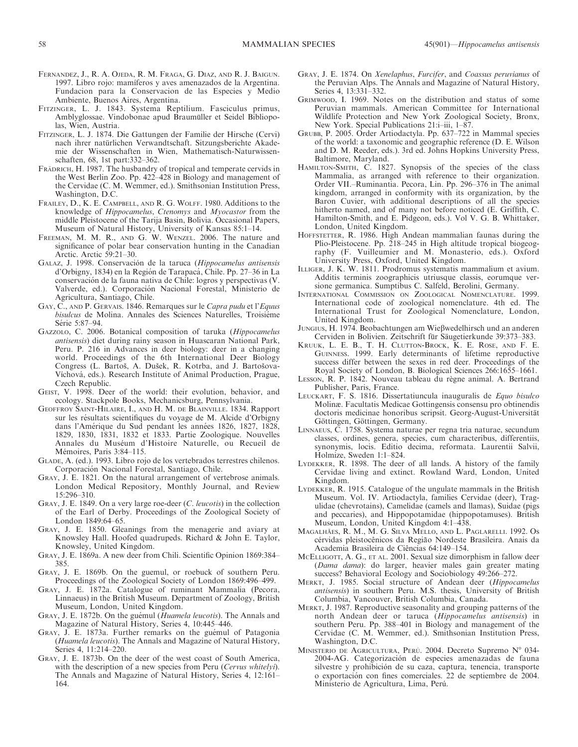- FERNANDEZ, J., R. A. OJEDA, R. M. FRAGA, G. DIAZ, AND R. J. BAIGUN. 1997. Libro rojo: mamíferos y aves amenazados de la Argentina. Fundacion para la Conservacion de las Especies y Medio Ambiente, Buenos Aires, Argentina.
- FITZINGER, L. J. 1843. Systema Reptilium. Fasciculus primus, Amblyglossae. Vindobonae apud Braumüller et Seidel Bibliopolas, Wien, Austria.
- FITZINGER, L. J. 1874. Die Gattungen der Familie der Hirsche (Cervi) nach ihrer natürlichen Verwandtschaft. Sitzungsberichte Akademie der Wissenschaften in Wien, Mathematisch-Naturwissenschaften, 68, 1st part:332–362.
- FRADRICH, H. 1987. The husbandry of tropical and temperate cervids in the West Berlin Zoo. Pp. 422–428 in Biology and management of the Cervidae (C. M. Wemmer, ed.). Smithsonian Institution Press, Washington, D.C.
- FRAILEY, D., K. E. CAMPBELL, AND R. G. WOLFF. 1980. Additions to the knowledge of Hippocamelus, Ctenomys and Myocastor from the middle Pleistocene of the Tarija Basin, Bolivia. Occasional Papers, Museum of Natural History, University of Kansas 85:1–14.
- FREEMAN, M. M. R., AND G. W. WENZEL. 2006. The nature and significance of polar bear conservation hunting in the Canadian Arctic. Arctic 59:21–30.
- GALAZ, J. 1998. Conservación de la taruca (Hippocamelus antisensis d'Orbigny, 1834) en la Región de Tarapacá, Chile. Pp. 27–36 in La conservacio´n de la fauna nativa de Chile: logros y perspectivas (V. Valverde, ed.). Corporación Nacional Forestal, Ministerio de Agricultura, Santiago, Chile.
- GAY, C., AND P. GERVAIS. 1846. Remarques sur le Capra pudu et l'Equus bisulcus de Molina. Annales des Sciences Naturelles, Troisiéme Série 5:87–94.
- GAZZOLO, C. 2006. Botanical composition of taruka (Hippocamelus antisensis) diet during rainy season in Huascaran National Park, Peru. P. 216 in Advances in deer biology: deer in a changing world. Proceedings of the 6th International Deer Biology Congress (L. Bartoš, A. Dušek, R. Kotrba, and J. Bartošova-Víchová, eds.). Research Institute of Animal Production, Prague, Czech Republic.
- GEIST, V. 1998. Deer of the world: their evolution, behavior, and ecology. Stackpole Books, Mechanicsburg, Pennsylvania.
- GEOFFROY SAINT-HILAIRE, I., AND H. M. DE BLAINVILLE. 1834. Rapport sur les résultats scientifiques du voyage de M. Alcide d'Orbigny dans l'Amérique du Sud pendant les années 1826, 1827, 1828, 1829, 1830, 1831, 1832 et 1833. Partie Zoologique. Nouvelles Annales du Muséum d'Histoire Naturelle, ou Recueil de Mémoires, Paris 3:84–115.
- GLADE, A. (ed.). 1993. Libro rojo de los vertebrados terrestres chilenos. Corporación Nacional Forestal, Santiago, Chile.
- GRAY, J. E. 1821. On the natural arrangement of vertebrose animals. London Medical Repository, Monthly Journal, and Review 15:296–310.
- GRAY, J. E. 1849. On a very large roe-deer (C. leucotis) in the collection of the Earl of Derby. Proceedings of the Zoological Society of London 1849:64–65.
- GRAY, J. E. 1850. Gleanings from the menagerie and aviary at Knowsley Hall. Hoofed quadrupeds. Richard & John E. Taylor, Knowsley, United Kingdom.
- GRAY, J. E. 1869a. A new deer from Chili. Scientific Opinion 1869:384– 385.
- GRAY, J. E. 1869b. On the guemul, or roebuck of southern Peru. Proceedings of the Zoological Society of London 1869:496–499.
- GRAY, J. E. 1872a. Catalogue of ruminant Mammalia (Pecora, Linnaeus) in the British Museum. Department of Zoology, British Museum, London, United Kingdom.
- GRAY, J. E. 1872b. On the guémul (Huamela leucotis). The Annals and Magazine of Natural History, Series 4, 10:445–446.
- GRAY, J. E. 1873a. Further remarks on the guémul of Patagonia (Huamela leucotis). The Annals and Magazine of Natural History, Series 4, 11:214–220.
- GRAY, J. E. 1873b. On the deer of the west coast of South America, with the description of a new species from Peru (Cervus whitelyi). The Annals and Magazine of Natural History, Series 4, 12:161– 164.
- GRAY, J. E. 1874. On Xenelaphus, Furcifer, and Coassus peruvianus of the Peruvian Alps. The Annals and Magazine of Natural History, Series 4, 13:331–332.
- GRIMWOOD, I. 1969. Notes on the distribution and status of some Peruvian mammals. American Committee for International Wildlife Protection and New York Zoological Society, Bronx, New York. Special Publications 21:i-iii, 1-87.
- GRUBB, P. 2005. Order Artiodactyla. Pp. 637–722 in Mammal species of the world: a taxonomic and geographic reference (D. E. Wilson and D. M. Reeder, eds.). 3rd ed. Johns Hopkins University Press, Baltimore, Maryland.
- HAMILTON-SMITH, C. 1827. Synopsis of the species of the class Mammalia, as arranged with reference to their organization. Order VII.–Ruminantia. Pecora, Lin. Pp. 296–376 in The animal kingdom, arranged in conformity with its organization, by the Baron Cuvier, with additional descriptions of all the species hitherto named, and of many not before noticed (E. Griffith, C. Hamilton-Smith, and E. Pidgeon, eds.). Vol V. G. B. Whittaker, London, United Kingdom.
- HOFFSTETTER, R. 1986. High Andean mammalian faunas during the Plio-Pleistocene. Pp. 218–245 in High altitude tropical biogeography (F. Vuilleumier and M. Monasterio, eds.). Oxford University Press, Oxford, United Kingdom.
- ILLIGER, J. K. W. 1811. Prodromus systematis mammalium et avium. Additis terminis zoographicis utriusque classis, eorumque versione germanica. Sumptibus C. Salfeld, Berolini, Germany.
- INTERNATIONAL COMMISSION ON ZOOLOGICAL NOMENCLATURE. 1999. International code of zoological nomenclature. 4th ed. The International Trust for Zoological Nomenclature, London, United Kingdom.
- JUNGIUS, H. 1974. Beobachtungen am Wießwedelhirsch und an anderen Cerviden in Bolivien. Zeitschrift für Säugetierkunde 39:373–383.
- KRUUK, L. E. B., T. H. CLUTTON-BROCK, K. E. ROSE, AND F. E. GUINNESS. 1999. Early determinants of lifetime reproductive success differ between the sexes in red deer. Proceedings of the Royal Society of London, B. Biological Sciences 266:1655–1661.
- LESSON, R. P. 1842. Nouveau tableau du règne animal. A. Bertrand Publisher, Paris, France.
- LEUCKART, F. S. 1816. Dissertatiuncula inauguralis de Equo bisulco Molinæ. Facultatis Medicae Gottingensis consensu pro obtinendis doctoris medicinae honoribus scripsit. Georg-August-Universität Göttingen, Göttingen, Germany.
- LINNAEUS, C. 1758. Systema naturae per regna tria naturae, secundum classes, ordines, genera, species, cum characteribus, differentiis, synonymis, locis. Editio decima, reformata. Laurentii Salvii, Holmize, Sweden 1:1–824.
- LYDEKKER, R. 1898. The deer of all lands. A history of the family Cervidae living and extinct. Rowland Ward, London, United Kingdom.
- LYDEKKER, R. 1915. Catalogue of the ungulate mammals in the British Museum. Vol. IV. Artiodactyla, families Cervidae (deer), Tragulidae (chevrotains), Camelidae (camels and llamas), Suidae (pigs and peccaries), and Hippopotamidae (hippopotamuses). British Museum, London, United Kingdom 4:1–438.
- MAGALHA˜ES, R. M., M. G. SILVA MELLO, AND L. PAGLARELLI. 1992. Os cérvidas pleistocênicos da Região Nordeste Brasileira. Anais da Academia Brasileira de Ciências 64:149-154.
- MCELLIGOTT, A. G., ET AL. 2001. Sexual size dimorphism in fallow deer (Dama dama): do larger, heavier males gain greater mating success? Behavioral Ecology and Sociobiology 49:266–272.
- MERKT, J. 1985. Social structure of Andean deer (Hippocamelus antisensis) in southern Peru. M.S. thesis, University of British Columbia, Vancouver, British Columbia, Canada.
- MERKT, J. 1987. Reproductive seasonality and grouping patterns of the north Andean deer or taruca (Hippocamelus antisensis) in southern Peru. Pp. 388–401 in Biology and management of the Cervidae (C. M. Wemmer, ed.). Smithsonian Institution Press, Washington, D.C.
- MINISTERIO DE AGRICULTURA, PERÚ. 2004. Decreto Supremo Nº 034-2004-AG. Categorización de especies amenazadas de fauna silvestre y prohibición de su caza, captura, tenencia, transporte o exportación con fines comerciales. 22 de septiembre de 2004. Ministerio de Agricultura, Lima, Perú.